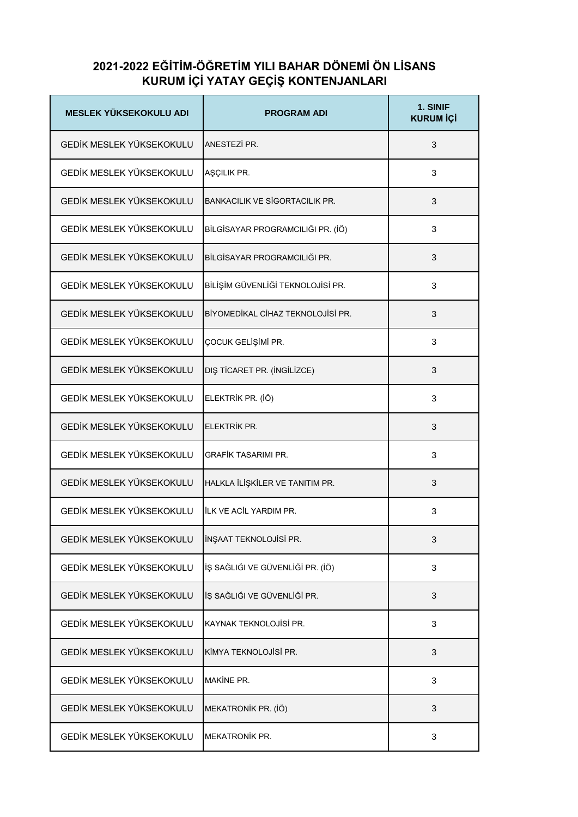## **2021-2022 EĞİTİM-ÖĞRETİM YILI BAHAR DÖNEMİ ÖN LİSANS KURUM İÇİ YATAY GEÇİŞ KONTENJANLARI**

| <b>MESLEK YÜKSEKOKULU ADI</b>   | <b>PROGRAM ADI</b>                    | 1. SINIF<br><b>KURUM İÇİ</b> |
|---------------------------------|---------------------------------------|------------------------------|
| GEDİK MESLEK YÜKSEKOKULU        | ANESTEZİ PR.                          | 3                            |
| GEDİK MESLEK YÜKSEKOKULU        | AŞÇILIK PR.                           | 3                            |
| GEDİK MESLEK YÜKSEKOKULU        | <b>BANKACILIK VE SİGORTACILIK PR.</b> | 3                            |
| GEDİK MESLEK YÜKSEKOKULU        | BİLGİSAYAR PROGRAMCILIĞI PR. (İÖ)     | 3                            |
| GEDİK MESLEK YÜKSEKOKULU        | BİLGİSAYAR PROGRAMCILIĞI PR.          | 3                            |
| GEDİK MESLEK YÜKSEKOKULU        | BİLİŞİM GÜVENLİĞİ TEKNOLOJİSİ PR.     | 3                            |
| <b>GEDİK MESLEK YÜKSEKOKULU</b> | BİYOMEDİKAL CİHAZ TEKNOLOJİSİ PR.     | 3                            |
| GEDİK MESLEK YÜKSEKOKULU        | ÇOCUK GELİŞİMİ PR.                    | 3                            |
| GEDİK MESLEK YÜKSEKOKULU        | DIŞ TİCARET PR. (İNGİLİZCE)           | 3                            |
| GEDİK MESLEK YÜKSEKOKULU        | ELEKTRİK PR. (İÖ)                     | 3                            |
| GEDİK MESLEK YÜKSEKOKULU        | ELEKTRİK PR.                          | 3                            |
| <b>GEDİK MESLEK YÜKSEKOKULU</b> | <b>GRAFİK TASARIMI PR.</b>            | 3                            |
| GEDİK MESLEK YÜKSEKOKULU        | HALKLA İLİŞKİLER VE TANITIM PR.       | 3                            |
| GEDİK MESLEK YÜKSEKOKULU        | <b>ILK VE ACIL YARDIM PR.</b>         | 3                            |
| GEDİK MESLEK YÜKSEKOKULU        | İNŞAAT TEKNOLOJİSİ PR.                | 3                            |
| GEDİK MESLEK YÜKSEKOKULU        | İŞ SAĞLIĞI VE GÜVENLİĞİ PR. (İÖ)      | 3                            |
| GEDİK MESLEK YÜKSEKOKULU        | İŞ SAĞLIĞI VE GÜVENLİĞİ PR.           | 3                            |
| GEDİK MESLEK YÜKSEKOKULU        | KAYNAK TEKNOLOJİSİ PR.                | 3                            |
| GEDİK MESLEK YÜKSEKOKULU        | KİMYA TEKNOLOJİSİ PR.                 | 3                            |
| GEDİK MESLEK YÜKSEKOKULU        | MAKINE PR.                            | 3                            |
| GEDİK MESLEK YÜKSEKOKULU        | MEKATRONİK PR. (İÖ)                   | 3                            |
| GEDİK MESLEK YÜKSEKOKULU        | <b>MEKATRONİK PR.</b>                 | 3                            |